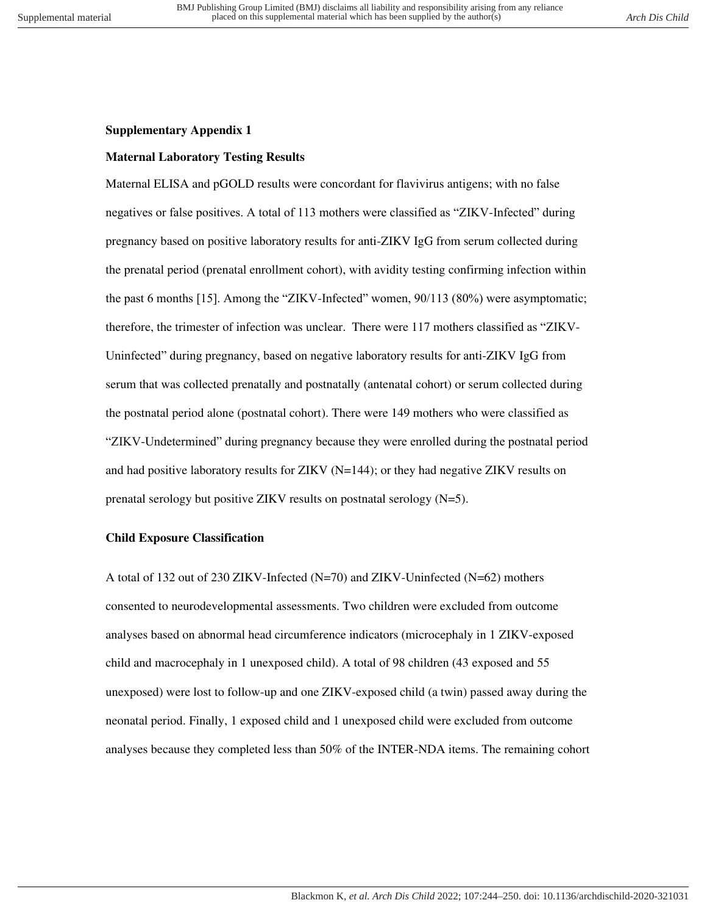## **Supplementary Appendix 1**

## **Maternal Laboratory Testing Results**

Maternal ELISA and pGOLD results were concordant for flavivirus antigens; with no false negatives or false positives. A total of 113 mothers were classified as "ZIKV-Infected" during pregnancy based on positive laboratory results for anti-ZIKV IgG from serum collected during the prenatal period (prenatal enrollment cohort), with avidity testing confirming infection within the past 6 months [15]. Among the "ZIKV-Infected" women, 90/113 (80%) were asymptomatic; therefore, the trimester of infection was unclear. There were 117 mothers classified as "ZIKV-Uninfected" during pregnancy, based on negative laboratory results for anti-ZIKV IgG from serum that was collected prenatally and postnatally (antenatal cohort) or serum collected during the postnatal period alone (postnatal cohort). There were 149 mothers who were classified as "ZIKV-Undetermined" during pregnancy because they were enrolled during the postnatal period and had positive laboratory results for ZIKV (N=144); or they had negative ZIKV results on prenatal serology but positive ZIKV results on postnatal serology  $(N=5)$ .

## **Child Exposure Classification**

A total of 132 out of 230 ZIKV-Infected (N=70) and ZIKV-Uninfected (N=62) mothers consented to neurodevelopmental assessments. Two children were excluded from outcome analyses based on abnormal head circumference indicators (microcephaly in 1 ZIKV-exposed child and macrocephaly in 1 unexposed child). A total of 98 children (43 exposed and 55 unexposed) were lost to follow-up and one ZIKV-exposed child (a twin) passed away during the neonatal period. Finally, 1 exposed child and 1 unexposed child were excluded from outcome analyses because they completed less than 50% of the INTER-NDA items. The remaining cohort